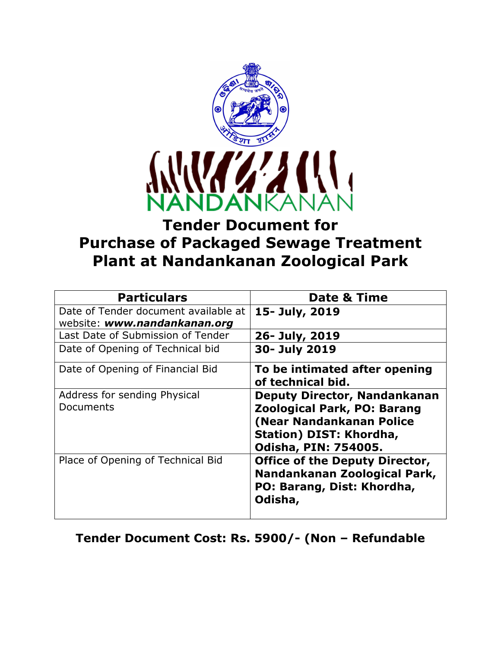

# **Tender Document for Purchase of Packaged Sewage Treatment Plant at Nandankanan Zoological Park**

| <b>Particulars</b>                        | <b>Date &amp; Time</b>                                                                                                                                          |
|-------------------------------------------|-----------------------------------------------------------------------------------------------------------------------------------------------------------------|
| Date of Tender document available at      | 15- July, 2019                                                                                                                                                  |
| website: www.nandankanan.org              |                                                                                                                                                                 |
| Last Date of Submission of Tender         | 26- July, 2019                                                                                                                                                  |
| Date of Opening of Technical bid          | 30- July 2019                                                                                                                                                   |
| Date of Opening of Financial Bid          | To be intimated after opening<br>of technical bid.                                                                                                              |
| Address for sending Physical<br>Documents | <b>Deputy Director, Nandankanan</b><br><b>Zoological Park, PO: Barang</b><br>(Near Nandankanan Police<br>Station) DIST: Khordha,<br><b>Odisha, PIN: 754005.</b> |
| Place of Opening of Technical Bid         | <b>Office of the Deputy Director,</b><br>Nandankanan Zoological Park,<br>PO: Barang, Dist: Khordha,<br>Odisha,                                                  |

# **Tender Document Cost: Rs. 5900/- (Non – Refundable**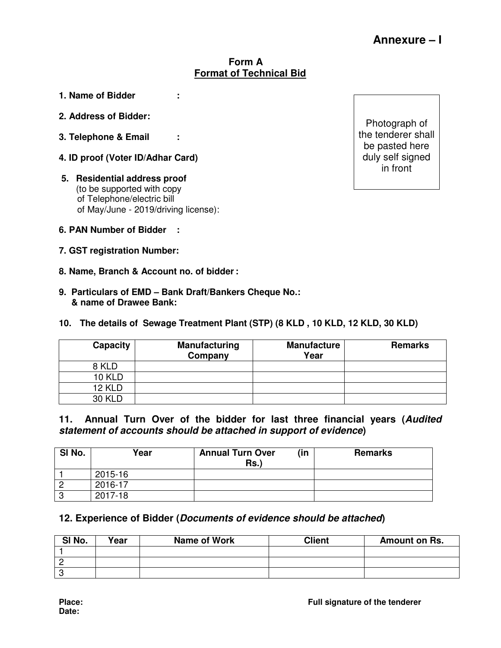#### **Form A Format of Technical Bid**

- **1. Name of Bidder :**
- **2. Address of Bidder :**
- **3. Telephone & Email :**
- **4. ID proof (Voter ID/Adhar Card)**
- **5. Residential address proof**  (to be supported with copy of Telephone/electric bill of May/June - 2019/driving license):
- **6. PAN Number of Bidder :**
- **7. GST registration Number:**
- **8. Name, Branch & Account no. of bidder :**
- **9. Particulars of EMD Bank Draft/Bankers Cheque No.: & name of Drawee Bank:**

#### **10. The details of Sewage Treatment Plant (STP) (8 KLD , 10 KLD, 12 KLD, 30 KLD)**

| <b>Capacity</b> | <b>Manufacturing</b><br>Company | <b>Manufacture</b><br>Year | <b>Remarks</b> |
|-----------------|---------------------------------|----------------------------|----------------|
| 8 KLD           |                                 |                            |                |
| <b>10 KLD</b>   |                                 |                            |                |
| <b>12 KLD</b>   |                                 |                            |                |
| <b>30 KLD</b>   |                                 |                            |                |

#### **11. Annual Turn Over of the bidder for last three financial years (Audited statement of accounts should be attached in support of evidence)**

| SI No. | Year    | <b>Annual Turn Over</b><br>(in<br>$Rs.$ ) | <b>Remarks</b> |
|--------|---------|-------------------------------------------|----------------|
|        | 2015-16 |                                           |                |
|        | 2016-17 |                                           |                |
| 0      | 2017-18 |                                           |                |

#### **12. Experience of Bidder (Documents of evidence should be attached)**

| SI No. | Vear | Name of Work | Client | Amount on Rs. |
|--------|------|--------------|--------|---------------|
|        |      |              |        |               |
|        |      |              |        |               |
|        |      |              |        |               |

Photograph of the tenderer shall be pasted here duly self signed in front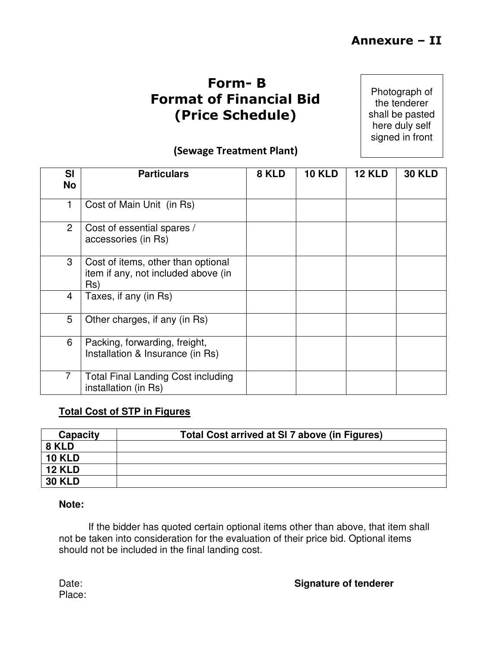# **Form- B Format of Financial Bid (Price Schedule)**

Photograph of the tenderer shall be pasted here duly self signed in front

# **(Sewage Treatment Plant)**

| <b>SI</b><br><b>No</b> | <b>Particulars</b>                                                               | 8 KLD | <b>10 KLD</b> | <b>12 KLD</b> | <b>30 KLD</b> |
|------------------------|----------------------------------------------------------------------------------|-------|---------------|---------------|---------------|
| 1                      | Cost of Main Unit (in Rs)                                                        |       |               |               |               |
| $\overline{2}$         | Cost of essential spares /<br>accessories (in Rs)                                |       |               |               |               |
| 3                      | Cost of items, other than optional<br>item if any, not included above (in<br>Rs) |       |               |               |               |
| $\overline{4}$         | Taxes, if any (in Rs)                                                            |       |               |               |               |
| 5                      | Other charges, if any (in Rs)                                                    |       |               |               |               |
| 6                      | Packing, forwarding, freight,<br>Installation & Insurance (in Rs)                |       |               |               |               |
| $\overline{7}$         | <b>Total Final Landing Cost including</b><br>installation (in Rs)                |       |               |               |               |

## **Total Cost of STP in Figures**

| Capacity      | Total Cost arrived at SI 7 above (in Figures) |
|---------------|-----------------------------------------------|
| 8 KLD         |                                               |
| <b>10 KLD</b> |                                               |
| <b>12 KLD</b> |                                               |
| <b>30 KLD</b> |                                               |

#### **Note:**

 If the bidder has quoted certain optional items other than above, that item shall not be taken into consideration for the evaluation of their price bid. Optional items should not be included in the final landing cost.

| Date: | <b>Signature of tenderer</b> |
|-------|------------------------------|
|       |                              |

Place: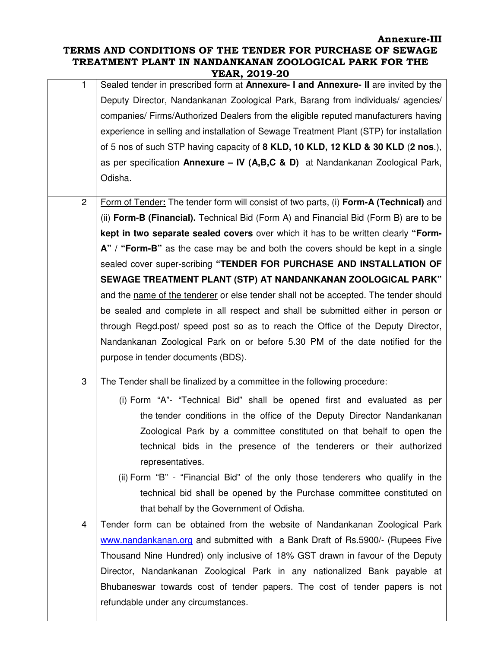#### **Annexure-III TERMS AND CONDITIONS OF THE TENDER FOR PURCHASE OF SEWAGE TREATMENT PLANT IN NANDANKANAN ZOOLOGICAL PARK FOR THE YEAR, 2019-20**

| 1            | Sealed tender in prescribed form at <b>Annexure- I and Annexure- II</b> are invited by the<br>Deputy Director, Nandankanan Zoological Park, Barang from individuals/agencies/<br>companies/ Firms/Authorized Dealers from the eligible reputed manufacturers having<br>experience in selling and installation of Sewage Treatment Plant (STP) for installation<br>of 5 nos of such STP having capacity of 8 KLD, 10 KLD, 12 KLD & 30 KLD (2 nos.),<br>as per specification Annexure - IV (A,B,C & D) at Nandankanan Zoological Park,<br>Odisha. |
|--------------|-------------------------------------------------------------------------------------------------------------------------------------------------------------------------------------------------------------------------------------------------------------------------------------------------------------------------------------------------------------------------------------------------------------------------------------------------------------------------------------------------------------------------------------------------|
| $\mathbf{2}$ | Form of Tender: The tender form will consist of two parts, (i) Form-A (Technical) and<br>(ii) Form-B (Financial). Technical Bid (Form A) and Financial Bid (Form B) are to be                                                                                                                                                                                                                                                                                                                                                                   |
|              | kept in two separate sealed covers over which it has to be written clearly "Form-                                                                                                                                                                                                                                                                                                                                                                                                                                                               |
|              | A" / "Form-B" as the case may be and both the covers should be kept in a single                                                                                                                                                                                                                                                                                                                                                                                                                                                                 |
|              | sealed cover super-scribing "TENDER FOR PURCHASE AND INSTALLATION OF                                                                                                                                                                                                                                                                                                                                                                                                                                                                            |
|              | SEWAGE TREATMENT PLANT (STP) AT NANDANKANAN ZOOLOGICAL PARK"                                                                                                                                                                                                                                                                                                                                                                                                                                                                                    |
|              | and the name of the tenderer or else tender shall not be accepted. The tender should                                                                                                                                                                                                                                                                                                                                                                                                                                                            |
|              | be sealed and complete in all respect and shall be submitted either in person or                                                                                                                                                                                                                                                                                                                                                                                                                                                                |
|              | through Regd.post/ speed post so as to reach the Office of the Deputy Director,                                                                                                                                                                                                                                                                                                                                                                                                                                                                 |
|              | Nandankanan Zoological Park on or before 5.30 PM of the date notified for the                                                                                                                                                                                                                                                                                                                                                                                                                                                                   |
|              | purpose in tender documents (BDS).                                                                                                                                                                                                                                                                                                                                                                                                                                                                                                              |
| 3            | The Tender shall be finalized by a committee in the following procedure:                                                                                                                                                                                                                                                                                                                                                                                                                                                                        |
|              | (i) Form "A"- "Technical Bid" shall be opened first and evaluated as per                                                                                                                                                                                                                                                                                                                                                                                                                                                                        |
|              | the tender conditions in the office of the Deputy Director Nandankanan                                                                                                                                                                                                                                                                                                                                                                                                                                                                          |
|              | Zoological Park by a committee constituted on that behalf to open the                                                                                                                                                                                                                                                                                                                                                                                                                                                                           |
|              | technical bids in the presence of the tenderers or their authorized<br>representatives.                                                                                                                                                                                                                                                                                                                                                                                                                                                         |
|              | (ii) Form "B" - "Financial Bid" of the only those tenderers who qualify in the                                                                                                                                                                                                                                                                                                                                                                                                                                                                  |
|              | technical bid shall be opened by the Purchase committee constituted on                                                                                                                                                                                                                                                                                                                                                                                                                                                                          |
|              | that behalf by the Government of Odisha.                                                                                                                                                                                                                                                                                                                                                                                                                                                                                                        |
| 4            | Tender form can be obtained from the website of Nandankanan Zoological Park                                                                                                                                                                                                                                                                                                                                                                                                                                                                     |
|              | www.nandankanan.org and submitted with a Bank Draft of Rs.5900/- (Rupees Five                                                                                                                                                                                                                                                                                                                                                                                                                                                                   |
|              | Thousand Nine Hundred) only inclusive of 18% GST drawn in favour of the Deputy                                                                                                                                                                                                                                                                                                                                                                                                                                                                  |
|              | Director, Nandankanan Zoological Park in any nationalized Bank payable at                                                                                                                                                                                                                                                                                                                                                                                                                                                                       |
|              | Bhubaneswar towards cost of tender papers. The cost of tender papers is not                                                                                                                                                                                                                                                                                                                                                                                                                                                                     |
|              | refundable under any circumstances.                                                                                                                                                                                                                                                                                                                                                                                                                                                                                                             |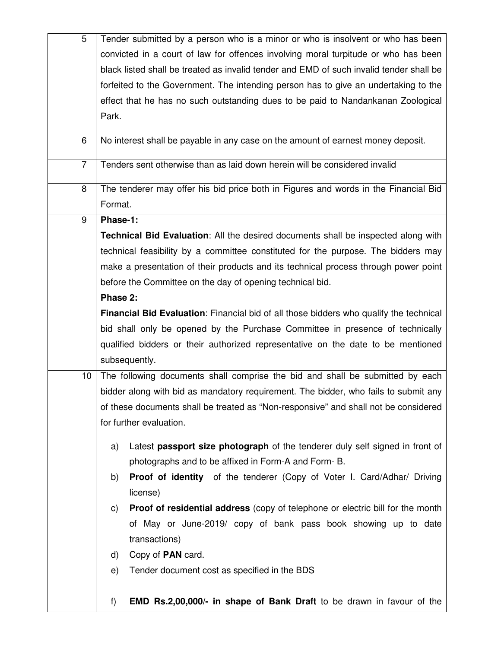| 5               | Tender submitted by a person who is a minor or who is insolvent or who has been             |
|-----------------|---------------------------------------------------------------------------------------------|
|                 | convicted in a court of law for offences involving moral turpitude or who has been          |
|                 | black listed shall be treated as invalid tender and EMD of such invalid tender shall be     |
|                 | forfeited to the Government. The intending person has to give an undertaking to the         |
|                 | effect that he has no such outstanding dues to be paid to Nandankanan Zoological            |
|                 | Park.                                                                                       |
|                 |                                                                                             |
| 6               | No interest shall be payable in any case on the amount of earnest money deposit.            |
| $\overline{7}$  | Tenders sent otherwise than as laid down herein will be considered invalid                  |
| 8               | The tenderer may offer his bid price both in Figures and words in the Financial Bid         |
|                 | Format.                                                                                     |
| 9               | Phase-1:                                                                                    |
|                 | Technical Bid Evaluation: All the desired documents shall be inspected along with           |
|                 | technical feasibility by a committee constituted for the purpose. The bidders may           |
|                 | make a presentation of their products and its technical process through power point         |
|                 | before the Committee on the day of opening technical bid.                                   |
|                 | Phase 2:                                                                                    |
|                 | Financial Bid Evaluation: Financial bid of all those bidders who qualify the technical      |
|                 | bid shall only be opened by the Purchase Committee in presence of technically               |
|                 | qualified bidders or their authorized representative on the date to be mentioned            |
|                 | subsequently.                                                                               |
| 10 <sup>°</sup> | The following documents shall comprise the bid and shall be submitted by each               |
|                 | bidder along with bid as mandatory requirement. The bidder, who fails to submit any         |
|                 | of these documents shall be treated as "Non-responsive" and shall not be considered         |
|                 | for further evaluation.                                                                     |
|                 |                                                                                             |
|                 | Latest passport size photograph of the tenderer duly self signed in front of<br>a)          |
|                 | photographs and to be affixed in Form-A and Form-B.                                         |
|                 | <b>Proof of identity</b> of the tenderer (Copy of Voter I. Card/Adhar/ Driving<br>b)        |
|                 | license)                                                                                    |
|                 | <b>Proof of residential address</b> (copy of telephone or electric bill for the month<br>C) |
|                 | of May or June-2019/ copy of bank pass book showing up to date                              |
|                 | transactions)                                                                               |
|                 | Copy of PAN card.<br>d)                                                                     |
|                 | Tender document cost as specified in the BDS<br>e)                                          |
|                 | <b>EMD Rs.2,00,000/- in shape of Bank Draft</b> to be drawn in favour of the<br>f)          |
|                 |                                                                                             |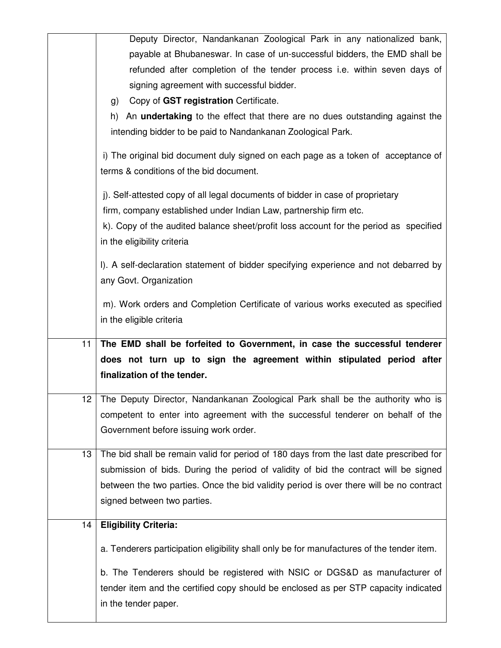|    | Deputy Director, Nandankanan Zoological Park in any nationalized bank,                                                                              |
|----|-----------------------------------------------------------------------------------------------------------------------------------------------------|
|    | payable at Bhubaneswar. In case of un-successful bidders, the EMD shall be                                                                          |
|    | refunded after completion of the tender process i.e. within seven days of                                                                           |
|    | signing agreement with successful bidder.                                                                                                           |
|    | Copy of GST registration Certificate.<br>g)                                                                                                         |
|    | An <b>undertaking</b> to the effect that there are no dues outstanding against the<br>h)                                                            |
|    | intending bidder to be paid to Nandankanan Zoological Park.                                                                                         |
|    | i) The original bid document duly signed on each page as a token of acceptance of<br>terms & conditions of the bid document.                        |
|    | j). Self-attested copy of all legal documents of bidder in case of proprietary<br>firm, company established under Indian Law, partnership firm etc. |
|    | k). Copy of the audited balance sheet/profit loss account for the period as specified                                                               |
|    | in the eligibility criteria                                                                                                                         |
|    | I). A self-declaration statement of bidder specifying experience and not debarred by<br>any Govt. Organization                                      |
|    | m). Work orders and Completion Certificate of various works executed as specified                                                                   |
|    |                                                                                                                                                     |
|    | in the eligible criteria                                                                                                                            |
| 11 | The EMD shall be forfeited to Government, in case the successful tenderer                                                                           |
|    | does not turn up to sign the agreement within stipulated period after                                                                               |
|    | finalization of the tender.                                                                                                                         |
|    | 12 The Deputy Director, Nandankanan Zoological Park shall be the authority who is                                                                   |
|    | competent to enter into agreement with the successful tenderer on behalf of the                                                                     |
|    | Government before issuing work order.                                                                                                               |
| 13 | The bid shall be remain valid for period of 180 days from the last date prescribed for                                                              |
|    | submission of bids. During the period of validity of bid the contract will be signed                                                                |
|    | between the two parties. Once the bid validity period is over there will be no contract                                                             |
|    | signed between two parties.                                                                                                                         |
| 14 | <b>Eligibility Criteria:</b>                                                                                                                        |
|    | a. Tenderers participation eligibility shall only be for manufactures of the tender item.                                                           |
|    | b. The Tenderers should be registered with NSIC or DGS&D as manufacturer of                                                                         |
|    | tender item and the certified copy should be enclosed as per STP capacity indicated<br>in the tender paper.                                         |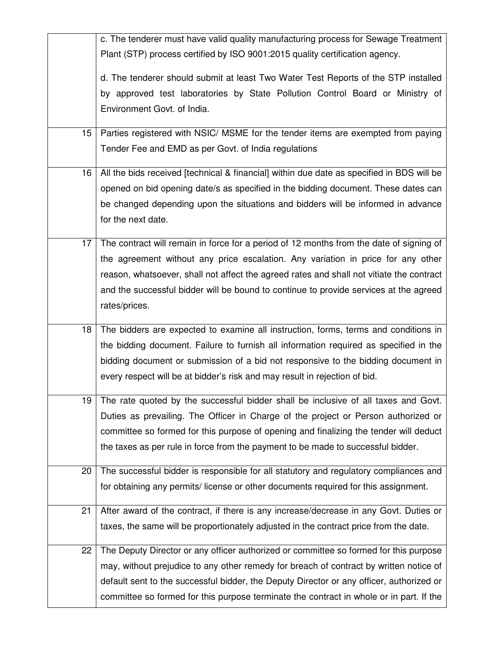|    | c. The tenderer must have valid quality manufacturing process for Sewage Treatment        |
|----|-------------------------------------------------------------------------------------------|
|    | Plant (STP) process certified by ISO 9001:2015 quality certification agency.              |
|    | d. The tenderer should submit at least Two Water Test Reports of the STP installed        |
|    | by approved test laboratories by State Pollution Control Board or Ministry of             |
|    | Environment Govt. of India.                                                               |
| 15 | Parties registered with NSIC/ MSME for the tender items are exempted from paying          |
|    | Tender Fee and EMD as per Govt. of India regulations                                      |
| 16 | All the bids received [technical & financial] within due date as specified in BDS will be |
|    | opened on bid opening date/s as specified in the bidding document. These dates can        |
|    | be changed depending upon the situations and bidders will be informed in advance          |
|    | for the next date.                                                                        |
| 17 | The contract will remain in force for a period of 12 months from the date of signing of   |
|    | the agreement without any price escalation. Any variation in price for any other          |
|    | reason, whatsoever, shall not affect the agreed rates and shall not vitiate the contract  |
|    | and the successful bidder will be bound to continue to provide services at the agreed     |
|    | rates/prices.                                                                             |
| 18 | The bidders are expected to examine all instruction, forms, terms and conditions in       |
|    | the bidding document. Failure to furnish all information required as specified in the     |
|    | bidding document or submission of a bid not responsive to the bidding document in         |
|    | every respect will be at bidder's risk and may result in rejection of bid.                |
|    | 19 The rate quoted by the successful bidder shall be inclusive of all taxes and Govt.     |
|    | Duties as prevailing. The Officer in Charge of the project or Person authorized or        |
|    | committee so formed for this purpose of opening and finalizing the tender will deduct     |
|    | the taxes as per rule in force from the payment to be made to successful bidder.          |
| 20 | The successful bidder is responsible for all statutory and regulatory compliances and     |
|    | for obtaining any permits/license or other documents required for this assignment.        |
| 21 | After award of the contract, if there is any increase/decrease in any Govt. Duties or     |
|    | taxes, the same will be proportionately adjusted in the contract price from the date.     |
| 22 | The Deputy Director or any officer authorized or committee so formed for this purpose     |
|    | may, without prejudice to any other remedy for breach of contract by written notice of    |
|    | default sent to the successful bidder, the Deputy Director or any officer, authorized or  |
|    | committee so formed for this purpose terminate the contract in whole or in part. If the   |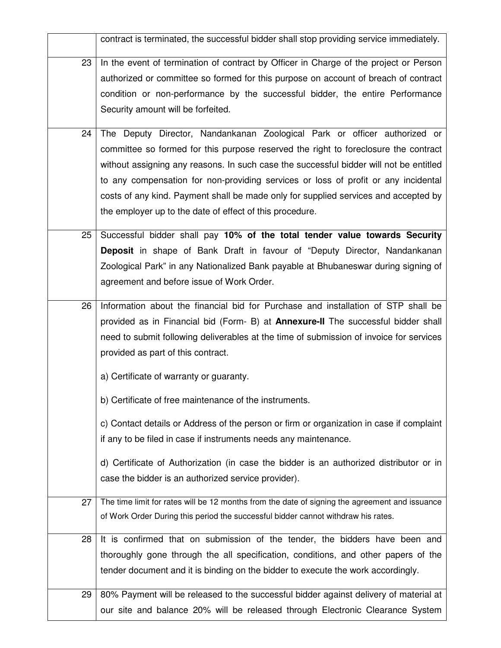|    | contract is terminated, the successful bidder shall stop providing service immediately.        |
|----|------------------------------------------------------------------------------------------------|
| 23 | In the event of termination of contract by Officer in Charge of the project or Person          |
|    | authorized or committee so formed for this purpose on account of breach of contract            |
|    | condition or non-performance by the successful bidder, the entire Performance                  |
|    | Security amount will be forfeited.                                                             |
|    |                                                                                                |
| 24 | The Deputy Director, Nandankanan Zoological Park or officer authorized or                      |
|    | committee so formed for this purpose reserved the right to foreclosure the contract            |
|    | without assigning any reasons. In such case the successful bidder will not be entitled         |
|    | to any compensation for non-providing services or loss of profit or any incidental             |
|    | costs of any kind. Payment shall be made only for supplied services and accepted by            |
|    | the employer up to the date of effect of this procedure.                                       |
| 25 | Successful bidder shall pay 10% of the total tender value towards Security                     |
|    | <b>Deposit</b> in shape of Bank Draft in favour of "Deputy Director, Nandankanan               |
|    | Zoological Park" in any Nationalized Bank payable at Bhubaneswar during signing of             |
|    | agreement and before issue of Work Order.                                                      |
| 26 | Information about the financial bid for Purchase and installation of STP shall be              |
|    | provided as in Financial bid (Form- B) at <b>Annexure-II</b> The successful bidder shall       |
|    | need to submit following deliverables at the time of submission of invoice for services        |
|    | provided as part of this contract.                                                             |
|    | a) Certificate of warranty or guaranty.                                                        |
|    | b) Certificate of free maintenance of the instruments.                                         |
|    |                                                                                                |
|    | c) Contact details or Address of the person or firm or organization in case if complaint       |
|    | if any to be filed in case if instruments needs any maintenance.                               |
|    | d) Certificate of Authorization (in case the bidder is an authorized distributor or in         |
|    | case the bidder is an authorized service provider).                                            |
| 27 | The time limit for rates will be 12 months from the date of signing the agreement and issuance |
|    | of Work Order During this period the successful bidder cannot withdraw his rates.              |
|    |                                                                                                |
| 28 | It is confirmed that on submission of the tender, the bidders have been and                    |
|    | thoroughly gone through the all specification, conditions, and other papers of the             |
|    | tender document and it is binding on the bidder to execute the work accordingly.               |
| 29 | 80% Payment will be released to the successful bidder against delivery of material at          |
|    | our site and balance 20% will be released through Electronic Clearance System                  |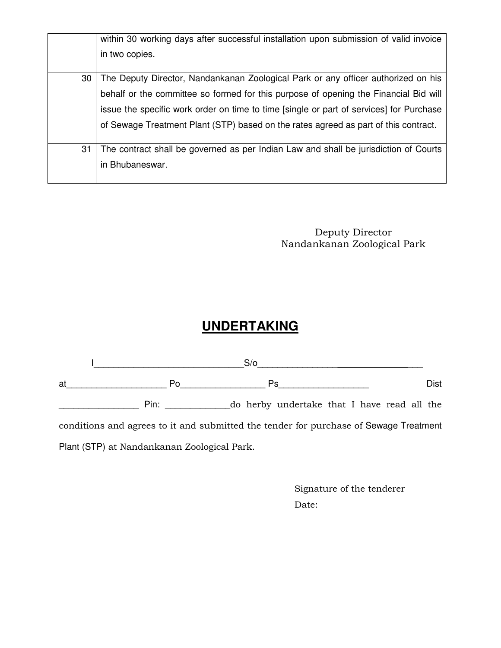|    | within 30 working days after successful installation upon submission of valid invoice   |
|----|-----------------------------------------------------------------------------------------|
|    | in two copies.                                                                          |
| 30 | The Deputy Director, Nandankanan Zoological Park or any officer authorized on his       |
|    | behalf or the committee so formed for this purpose of opening the Financial Bid will    |
|    | issue the specific work order on time to time [single or part of services] for Purchase |
|    | of Sewage Treatment Plant (STP) based on the rates agreed as part of this contract.     |
| 31 | The contract shall be governed as per Indian Law and shall be jurisdiction of Courts    |
|    | in Bhubaneswar.                                                                         |

Deputy Director Nandankanan Zoological Park

# **UNDERTAKING**

|                                                                                       | $S/\sigma$                                                                                                                                                                                                                    |  |                                             |  |  |      |
|---------------------------------------------------------------------------------------|-------------------------------------------------------------------------------------------------------------------------------------------------------------------------------------------------------------------------------|--|---------------------------------------------|--|--|------|
| at                                                                                    | Po.                                                                                                                                                                                                                           |  | Ps                                          |  |  | Dist |
|                                                                                       | Pin: and the same of the same of the same of the same of the same of the same of the same of the same of the same of the same of the same of the same of the same of the same of the same of the same of the same of the same |  | do herby undertake that I have read all the |  |  |      |
| conditions and agrees to it and submitted the tender for purchase of Sewage Treatment |                                                                                                                                                                                                                               |  |                                             |  |  |      |
|                                                                                       | Plant (STP) at Nandankanan Zoological Park.                                                                                                                                                                                   |  |                                             |  |  |      |

 Signature of the tenderer Date: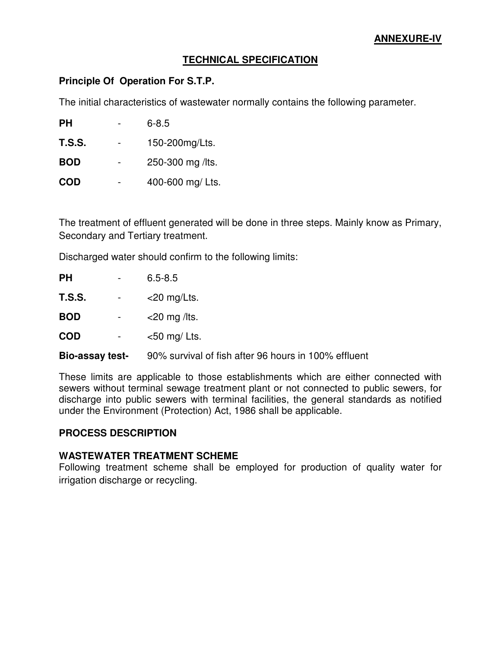### **TECHNICAL SPECIFICATION**

#### **Principle Of Operation For S.T.P.**

The initial characteristics of wastewater normally contains the following parameter.

| <b>PH</b>     | $6 - 8.5$        |
|---------------|------------------|
| <b>T.S.S.</b> | 150-200mg/Lts.   |
| <b>BOD</b>    | 250-300 mg /lts. |
| <b>COD</b>    | 400-600 mg/ Lts. |

The treatment of effluent generated will be done in three steps. Mainly know as Primary, Secondary and Tertiary treatment.

Discharged water should confirm to the following limits:

| PH                     | -                   | $6.5 - 8.5$                                          |
|------------------------|---------------------|------------------------------------------------------|
| T.S.S.                 | $\blacksquare$      | $<$ 20 mg/Lts.                                       |
| <b>BOD</b>             | $\sigma_{\rm{max}}$ | $<$ 20 mg /lts.                                      |
| <b>COD</b>             | $\sim$              | $<$ 50 mg/ Lts.                                      |
| <b>Bio-assay test-</b> |                     | 90% survival of fish after 96 hours in 100% effluent |

These limits are applicable to those establishments which are either connected with sewers without terminal sewage treatment plant or not connected to public sewers, for discharge into public sewers with terminal facilities, the general standards as notified under the Environment (Protection) Act, 1986 shall be applicable.

### **PROCESS DESCRIPTION**

### **WASTEWATER TREATMENT SCHEME**

Following treatment scheme shall be employed for production of quality water for irrigation discharge or recycling.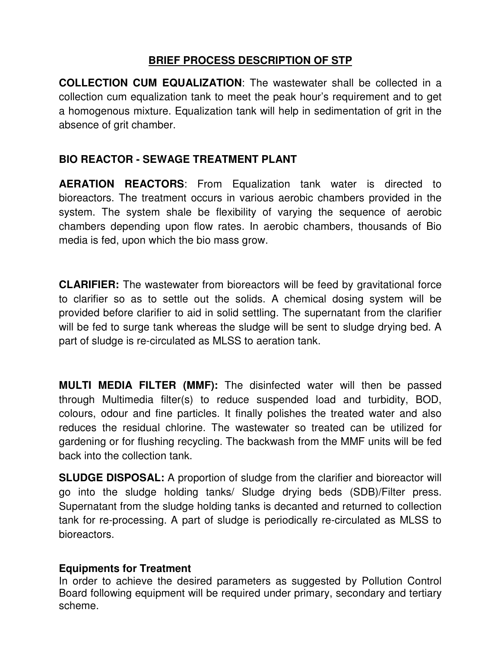# **BRIEF PROCESS DESCRIPTION OF STP**

**COLLECTION CUM EQUALIZATION**: The wastewater shall be collected in a collection cum equalization tank to meet the peak hour's requirement and to get a homogenous mixture. Equalization tank will help in sedimentation of grit in the absence of grit chamber.

# **BIO REACTOR - SEWAGE TREATMENT PLANT**

**AERATION REACTORS**: From Equalization tank water is directed to bioreactors. The treatment occurs in various aerobic chambers provided in the system. The system shale be flexibility of varying the sequence of aerobic chambers depending upon flow rates. In aerobic chambers, thousands of Bio media is fed, upon which the bio mass grow.

**CLARIFIER:** The wastewater from bioreactors will be feed by gravitational force to clarifier so as to settle out the solids. A chemical dosing system will be provided before clarifier to aid in solid settling. The supernatant from the clarifier will be fed to surge tank whereas the sludge will be sent to sludge drying bed. A part of sludge is re-circulated as MLSS to aeration tank.

**MULTI MEDIA FILTER (MMF):** The disinfected water will then be passed through Multimedia filter(s) to reduce suspended load and turbidity, BOD, colours, odour and fine particles. It finally polishes the treated water and also reduces the residual chlorine. The wastewater so treated can be utilized for gardening or for flushing recycling. The backwash from the MMF units will be fed back into the collection tank.

**SLUDGE DISPOSAL:** A proportion of sludge from the clarifier and bioreactor will go into the sludge holding tanks/ Sludge drying beds (SDB)/Filter press. Supernatant from the sludge holding tanks is decanted and returned to collection tank for re-processing. A part of sludge is periodically re-circulated as MLSS to bioreactors.

## **Equipments for Treatment**

In order to achieve the desired parameters as suggested by Pollution Control Board following equipment will be required under primary, secondary and tertiary scheme.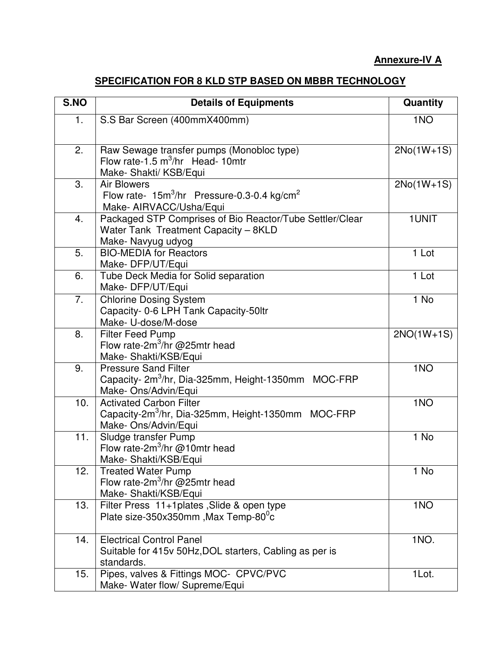## **Annexure-IV A**

## **SPECIFICATION FOR 8 KLD STP BASED ON MBBR TECHNOLOGY**

| S.NO | <b>Details of Equipments</b>                                                                                             | Quantity        |
|------|--------------------------------------------------------------------------------------------------------------------------|-----------------|
| 1.   | S.S Bar Screen (400mmX400mm)                                                                                             | 1 <sub>NO</sub> |
| 2.   | Raw Sewage transfer pumps (Monobloc type)<br>Flow rate-1.5 $m^3$ /hr Head-10mtr<br>Make- Shakti/ KSB/Equi                | $2No(1W+1S)$    |
| 3.   | <b>Air Blowers</b><br>Flow rate- $15m^3/hr$ Pressure-0.3-0.4 kg/cm <sup>2</sup><br>Make- AIRVACC/Usha/Equi               | $2No(1W+1S)$    |
| 4.   | Packaged STP Comprises of Bio Reactor/Tube Settler/Clear<br>Water Tank Treatment Capacity - 8KLD<br>Make- Navyug udyog   | 1UNIT           |
| 5.   | <b>BIO-MEDIA for Reactors</b><br>Make-DFP/UT/Equi                                                                        | 1 Lot           |
| 6.   | Tube Deck Media for Solid separation<br>Make-DFP/UT/Equi                                                                 | 1 Lot           |
| 7.   | <b>Chlorine Dosing System</b><br>Capacity- 0-6 LPH Tank Capacity-50ltr<br>Make- U-dose/M-dose                            | 1 No            |
| 8.   | <b>Filter Feed Pump</b><br>Flow rate-2m <sup>3</sup> /hr @25mtr head<br>Make-Shakti/KSB/Equi                             | $2NO(1W+1S)$    |
| 9.   | <b>Pressure Sand Filter</b><br>Capacity- 2m <sup>3</sup> /hr, Dia-325mm, Height-1350mm MOC-FRP<br>Make- Ons/Advin/Equi   | 1 <sub>NO</sub> |
| 10.  | <b>Activated Carbon Filter</b><br>Capacity-2m <sup>3</sup> /hr, Dia-325mm, Height-1350mm MOC-FRP<br>Make- Ons/Advin/Equi | 1 <sub>NO</sub> |
| 11.  | Sludge transfer Pump<br>Flow rate-2 $m^3$ /hr @10mtr head<br>Make-Shakti/KSB/Equi                                        | 1 No            |
| 12.  | <b>Treated Water Pump</b><br>Flow rate-2 $m^3$ /hr @25mtr head<br>Make-Shakti/KSB/Equi                                   | 1 No            |
| 13.  | Filter Press 11+1plates, Slide & open type<br>Plate size-350x350mm, Max Temp-80 <sup>0</sup> c                           | 1 <sub>NO</sub> |
| 14.  | <b>Electrical Control Panel</b><br>Suitable for 415v 50Hz, DOL starters, Cabling as per is<br>standards.                 | 1NO.            |
| 15.  | Pipes, valves & Fittings MOC- CPVC/PVC<br>Make- Water flow/ Supreme/Equi                                                 | 1Lot.           |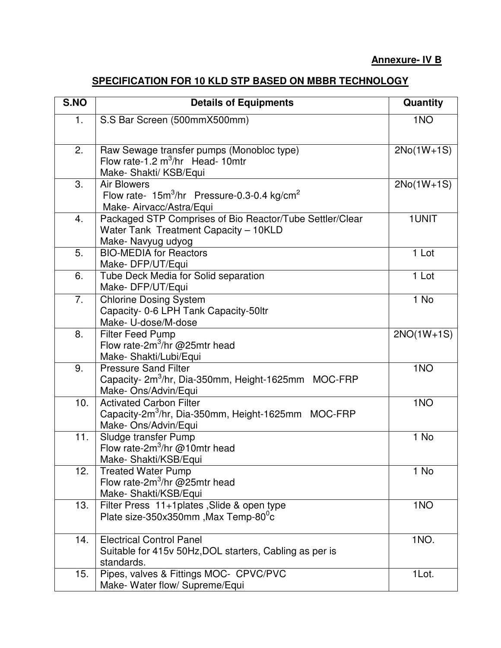## **Annexure- IV B**

## **SPECIFICATION FOR 10 KLD STP BASED ON MBBR TECHNOLOGY**

| S.NO | <b>Details of Equipments</b>                                                                                             | Quantity        |
|------|--------------------------------------------------------------------------------------------------------------------------|-----------------|
| 1.   | S.S Bar Screen (500mmX500mm)                                                                                             | 1 <sub>NO</sub> |
| 2.   | Raw Sewage transfer pumps (Monobloc type)<br>Flow rate-1.2 $m^3$ /hr Head-10mtr<br>Make- Shakti/ KSB/Equi                | $2No(1W+1S)$    |
| 3.   | <b>Air Blowers</b><br>Flow rate- $15m^3/hr$ Pressure-0.3-0.4 kg/cm <sup>2</sup><br>Make- Airvacc/Astra/Equi              | $2No(1W+1S)$    |
| 4.   | Packaged STP Comprises of Bio Reactor/Tube Settler/Clear<br>Water Tank Treatment Capacity - 10KLD<br>Make- Navyug udyog  | 1UNIT           |
| 5.   | <b>BIO-MEDIA for Reactors</b><br>Make-DFP/UT/Equi                                                                        | 1 Lot           |
| 6.   | Tube Deck Media for Solid separation<br>Make-DFP/UT/Equi                                                                 | 1 Lot           |
| 7.   | <b>Chlorine Dosing System</b><br>Capacity- 0-6 LPH Tank Capacity-50ltr<br>Make- U-dose/M-dose                            | 1 No            |
| 8.   | <b>Filter Feed Pump</b><br>Flow rate-2 $m^3$ /hr @25mtr head<br>Make-Shakti/Lubi/Equi                                    | $2NO(1W+1S)$    |
| 9.   | <b>Pressure Sand Filter</b><br>Capacity- 2m <sup>3</sup> /hr, Dia-350mm, Height-1625mm MOC-FRP<br>Make- Ons/Advin/Equi   | 1 <sub>NO</sub> |
| 10.  | <b>Activated Carbon Filter</b><br>Capacity-2m <sup>3</sup> /hr, Dia-350mm, Height-1625mm MOC-FRP<br>Make- Ons/Advin/Equi | 1 <sub>NO</sub> |
| 11.  | Sludge transfer Pump<br>Flow rate-2 $m^3$ /hr @10mtr head<br>Make- Shakti/KSB/Equi                                       | 1 No            |
| 12.  | <b>Treated Water Pump</b><br>Flow rate-2 $m^3$ /hr @25mtr head<br>Make-Shakti/KSB/Equi                                   | 1 No            |
| 13.  | Filter Press 11+1plates, Slide & open type<br>Plate size-350x350mm, Max Temp-80 <sup>0</sup> c                           | 1 <sub>NO</sub> |
| 14.  | <b>Electrical Control Panel</b><br>Suitable for 415v 50Hz, DOL starters, Cabling as per is<br>standards.                 | 1NO.            |
| 15.  | Pipes, valves & Fittings MOC- CPVC/PVC<br>Make- Water flow/ Supreme/Equi                                                 | 1Lot.           |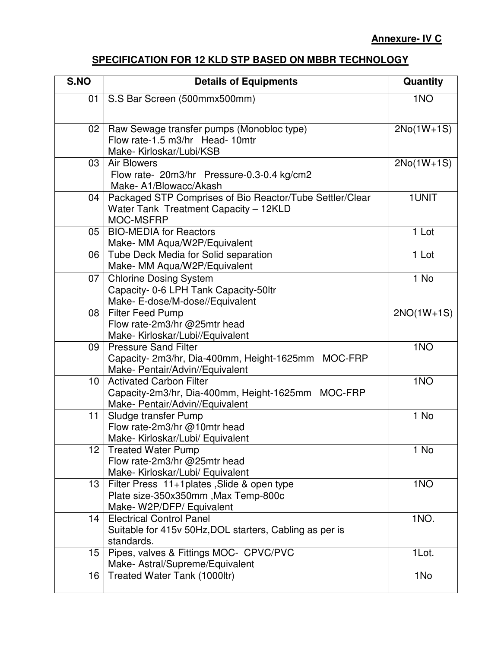# **SPECIFICATION FOR 12 KLD STP BASED ON MBBR TECHNOLOGY**

| S.NO            | <b>Details of Equipments</b>                                                                                            | Quantity        |
|-----------------|-------------------------------------------------------------------------------------------------------------------------|-----------------|
| 01              | S.S Bar Screen (500mmx500mm)                                                                                            | 1 <sub>NO</sub> |
| 02              | Raw Sewage transfer pumps (Monobloc type)<br>Flow rate-1.5 m3/hr Head-10mtr<br>Make-Kirloskar/Lubi/KSB                  | $2No(1W+1S)$    |
| 03              | <b>Air Blowers</b><br>Flow rate- 20m3/hr Pressure-0.3-0.4 kg/cm2<br>Make-A1/Blowacc/Akash                               | $2No(1W+1S)$    |
| 04              | Packaged STP Comprises of Bio Reactor/Tube Settler/Clear<br>Water Tank Treatment Capacity - 12KLD<br>MOC-MSFRP          | 1UNIT           |
| 05              | <b>BIO-MEDIA for Reactors</b><br>Make- MM Aqua/W2P/Equivalent                                                           | 1 Lot           |
| 06              | Tube Deck Media for Solid separation<br>Make- MM Aqua/W2P/Equivalent                                                    | 1 Lot           |
| 07 <sup>1</sup> | <b>Chlorine Dosing System</b><br>Capacity- 0-6 LPH Tank Capacity-50ltr<br>Make- E-dose/M-dose//Equivalent               | 1 No            |
| 08              | <b>Filter Feed Pump</b><br>Flow rate-2m3/hr @25mtr head<br>Make-Kirloskar/Lubi//Equivalent                              | $2NO(1W+1S)$    |
| 09              | <b>Pressure Sand Filter</b><br>Capacity- 2m3/hr, Dia-400mm, Height-1625mm<br>MOC-FRP<br>Make- Pentair/Advin//Equivalent | 1 <sub>NO</sub> |
| 10 <sup>1</sup> | <b>Activated Carbon Filter</b><br>Capacity-2m3/hr, Dia-400mm, Height-1625mm MOC-FRP<br>Make- Pentair/Advin//Equivalent  | 1 <sub>NO</sub> |
| 11              | Sludge transfer Pump<br>Flow rate-2m3/hr @10mtr head<br>Make- Kirloskar/Lubi/ Equivalent                                | 1 No            |
| 12 <sub>2</sub> | <b>Treated Water Pump</b><br>Flow rate-2m3/hr @25mtr head<br>Make-Kirloskar/Lubi/ Equivalent                            | 1 No            |
| 13              | Filter Press 11+1plates, Slide & open type<br>Plate size-350x350mm, Max Temp-800c<br>Make-W2P/DFP/ Equivalent           | 1 <sub>NO</sub> |
| 14              | <b>Electrical Control Panel</b><br>Suitable for 415v 50Hz, DOL starters, Cabling as per is<br>standards.                | 1NO.            |
| 15              | Pipes, valves & Fittings MOC- CPVC/PVC<br>Make- Astral/Supreme/Equivalent                                               | 1Lot.           |
| 16              | Treated Water Tank (1000ltr)                                                                                            | 1No             |